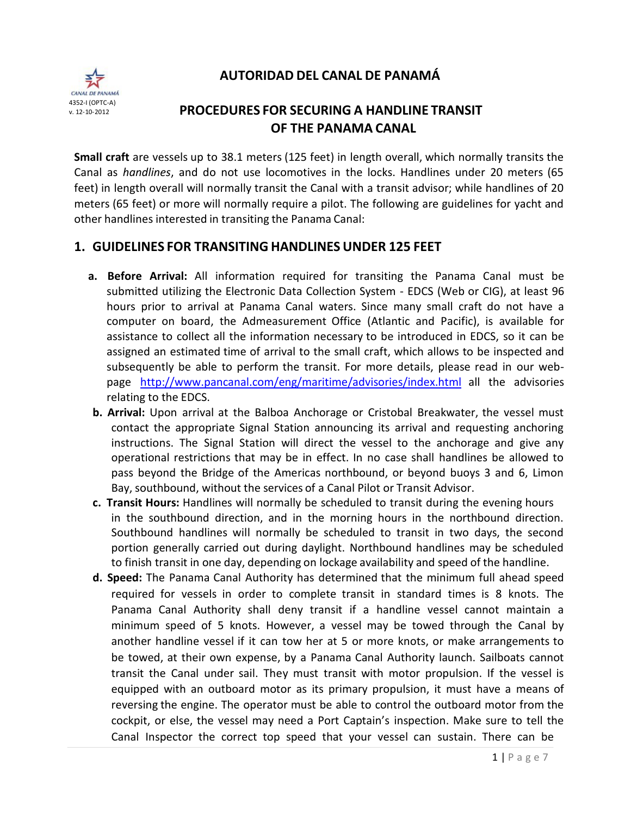**AUTORIDAD DEL CANAL DE PANAMÁ**



# **PROCEDURES FOR SECURING A HANDLINE TRANSIT OF THE PANAMA CANAL**

**Small craft** are vessels up to 38.1 meters (125 feet) in length overall, which normally transits the Canal as *handlines*, and do not use locomotives in the locks. Handlines under 20 meters (65 feet) in length overall will normally transit the Canal with a transit advisor; while handlines of 20 meters (65 feet) or more will normally require a pilot. The following are guidelines for yacht and other handlines interested in transiting the Panama Canal:

## **1. GUIDELINES FOR TRANSITING HANDLINES UNDER 125 FEET**

- **a. Before Arrival:** All information required for transiting the Panama Canal must be submitted utilizing the Electronic Data Collection System ‐ EDCS (Web or CIG), at least 96 hours prior to arrival at Panama Canal waters. Since many small craft do not have a computer on board, the Admeasurement Office (Atlantic and Pacific), is available for assistance to collect all the information necessary to be introduced in EDCS, so it can be assigned an estimated time of arrival to the small craft, which allows to be inspected and subsequently be able to perform the transit. For more details, please read in our web‐ page <http://www.pancanal.com/eng/maritime/advisories/index.html> all the advisories relating to the EDCS.
- **b. Arrival:** Upon arrival at the Balboa Anchorage or Cristobal Breakwater, the vessel must contact the appropriate Signal Station announcing its arrival and requesting anchoring instructions. The Signal Station will direct the vessel to the anchorage and give any operational restrictions that may be in effect. In no case shall handlines be allowed to pass beyond the Bridge of the Americas northbound, or beyond buoys 3 and 6, Limon Bay, southbound, without the services of a Canal Pilot or Transit Advisor.
- **c. Transit Hours:** Handlines will normally be scheduled to transit during the evening hours in the southbound direction, and in the morning hours in the northbound direction. Southbound handlines will normally be scheduled to transit in two days, the second portion generally carried out during daylight. Northbound handlines may be scheduled to finish transit in one day, depending on lockage availability and speed of the handline.
- **d. Speed:** The Panama Canal Authority has determined that the minimum full ahead speed required for vessels in order to complete transit in standard times is 8 knots. The Panama Canal Authority shall deny transit if a handline vessel cannot maintain a minimum speed of 5 knots. However, a vessel may be towed through the Canal by another handline vessel if it can tow her at 5 or more knots, or make arrangements to be towed, at their own expense, by a Panama Canal Authority launch. Sailboats cannot transit the Canal under sail. They must transit with motor propulsion. If the vessel is equipped with an outboard motor as its primary propulsion, it must have a means of reversing the engine. The operator must be able to control the outboard motor from the cockpit, or else, the vessel may need a Port Captain's inspection. Make sure to tell the Canal Inspector the correct top speed that your vessel can sustain. There can be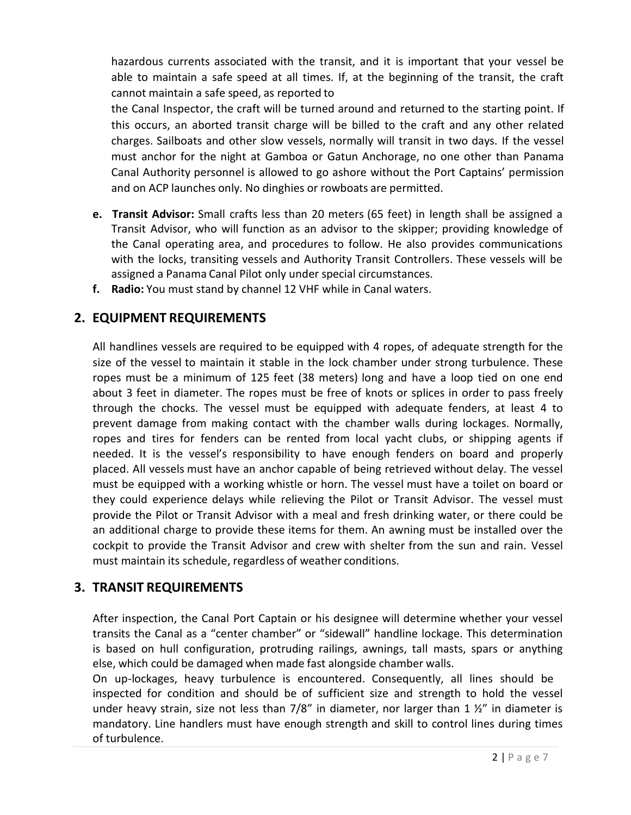hazardous currents associated with the transit, and it is important that your vessel be able to maintain a safe speed at all times. If, at the beginning of the transit, the craft cannot maintain a safe speed, as reported to

the Canal Inspector, the craft will be turned around and returned to the starting point. If this occurs, an aborted transit charge will be billed to the craft and any other related charges. Sailboats and other slow vessels, normally will transit in two days. If the vessel must anchor for the night at Gamboa or Gatun Anchorage, no one other than Panama Canal Authority personnel is allowed to go ashore without the Port Captains' permission and on ACP launches only. No dinghies or rowboats are permitted.

- **e. Transit Advisor:** Small crafts less than 20 meters (65 feet) in length shall be assigned a Transit Advisor, who will function as an advisor to the skipper; providing knowledge of the Canal operating area, and procedures to follow. He also provides communications with the locks, transiting vessels and Authority Transit Controllers. These vessels will be assigned a Panama Canal Pilot only under special circumstances.
- **f. Radio:** You must stand by channel 12 VHF while in Canal waters.

## **2. EQUIPMENT REQUIREMENTS**

All handlines vessels are required to be equipped with 4 ropes, of adequate strength for the size of the vessel to maintain it stable in the lock chamber under strong turbulence. These ropes must be a minimum of 125 feet (38 meters) long and have a loop tied on one end about 3 feet in diameter. The ropes must be free of knots or splices in order to pass freely through the chocks. The vessel must be equipped with adequate fenders, at least 4 to prevent damage from making contact with the chamber walls during lockages. Normally, ropes and tires for fenders can be rented from local yacht clubs, or shipping agents if needed. It is the vessel's responsibility to have enough fenders on board and properly placed. All vessels must have an anchor capable of being retrieved without delay. The vessel must be equipped with a working whistle or horn. The vessel must have a toilet on board or they could experience delays while relieving the Pilot or Transit Advisor. The vessel must provide the Pilot or Transit Advisor with a meal and fresh drinking water, or there could be an additional charge to provide these items for them. An awning must be installed over the cockpit to provide the Transit Advisor and crew with shelter from the sun and rain. Vessel must maintain its schedule, regardless of weather conditions.

## **3. TRANSIT REQUIREMENTS**

After inspection, the Canal Port Captain or his designee will determine whether your vessel transits the Canal as a "center chamber" or "sidewall" handline lockage. This determination is based on hull configuration, protruding railings, awnings, tall masts, spars or anything else, which could be damaged when made fast alongside chamber walls.

On up-lockages, heavy turbulence is encountered. Consequently, all lines should be inspected for condition and should be of sufficient size and strength to hold the vessel under heavy strain, size not less than  $7/8$ " in diameter, nor larger than 1  $\frac{1}{2}$ " in diameter is mandatory. Line handlers must have enough strength and skill to control lines during times of turbulence.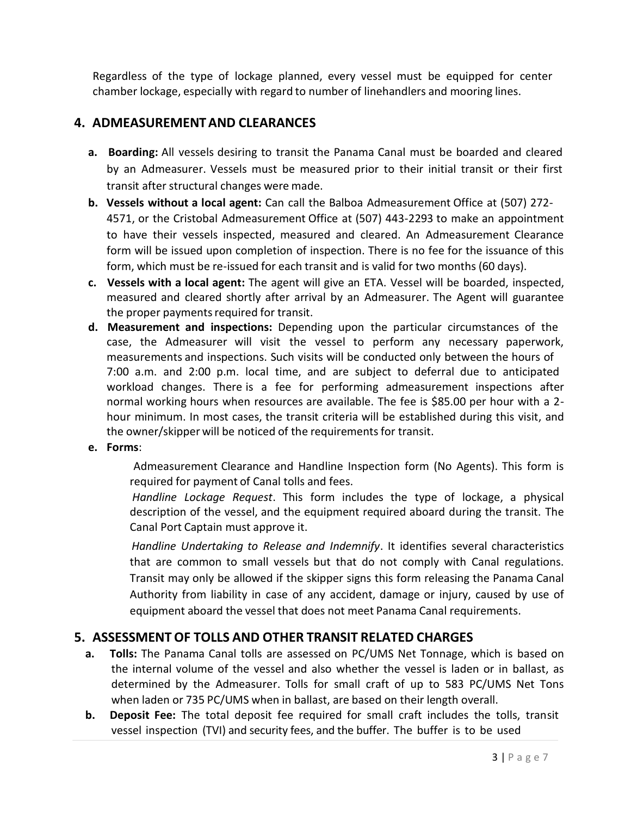Regardless of the type of lockage planned, every vessel must be equipped for center chamber lockage, especially with regard to number of linehandlers and mooring lines.

## **4. ADMEASUREMENTAND CLEARANCES**

- **a. Boarding:** All vessels desiring to transit the Panama Canal must be boarded and cleared by an Admeasurer. Vessels must be measured prior to their initial transit or their first transit after structural changes were made.
- **b. Vessels without a local agent:** Can call the Balboa Admeasurement Office at (507) 272‐ 4571, or the Cristobal Admeasurement Office at (507) 443‐2293 to make an appointment to have their vessels inspected, measured and cleared. An Admeasurement Clearance form will be issued upon completion of inspection. There is no fee for the issuance of this form, which must be re-issued for each transit and is valid for two months (60 days).
- **c. Vessels with a local agent:** The agent will give an ETA. Vessel will be boarded, inspected, measured and cleared shortly after arrival by an Admeasurer. The Agent will guarantee the proper payments required for transit.
- **d. Measurement and inspections:** Depending upon the particular circumstances of the case, the Admeasurer will visit the vessel to perform any necessary paperwork, measurements and inspections. Such visits will be conducted only between the hours of 7:00 a.m. and 2:00 p.m. local time, and are subject to deferral due to anticipated workload changes. There is a fee for performing admeasurement inspections after normal working hours when resources are available. The fee is \$85.00 per hour with a 2hour minimum. In most cases, the transit criteria will be established during this visit, and the owner/skipper will be noticed of the requirementsfor transit.
- **e. Forms**:

Admeasurement Clearance and Handline Inspection form (No Agents). This form is required for payment of Canal tolls and fees.

*Handline Lockage Request*. This form includes the type of lockage, a physical description of the vessel, and the equipment required aboard during the transit. The Canal Port Captain must approve it.

*Handline Undertaking to Release and Indemnify*. It identifies several characteristics that are common to small vessels but that do not comply with Canal regulations. Transit may only be allowed if the skipper signs this form releasing the Panama Canal Authority from liability in case of any accident, damage or injury, caused by use of equipment aboard the vessel that does not meet Panama Canal requirements.

## **5. ASSESSMENTOF TOLLS AND OTHER TRANSIT RELATED CHARGES**

- **a. Tolls:** The Panama Canal tolls are assessed on PC/UMS Net Tonnage, which is based on the internal volume of the vessel and also whether the vessel is laden or in ballast, as determined by the Admeasurer. Tolls for small craft of up to 583 PC/UMS Net Tons when laden or 735 PC/UMS when in ballast, are based on their length overall.
- **b. Deposit Fee:** The total deposit fee required for small craft includes the tolls, transit vessel inspection (TVI) and security fees, and the buffer. The buffer is to be used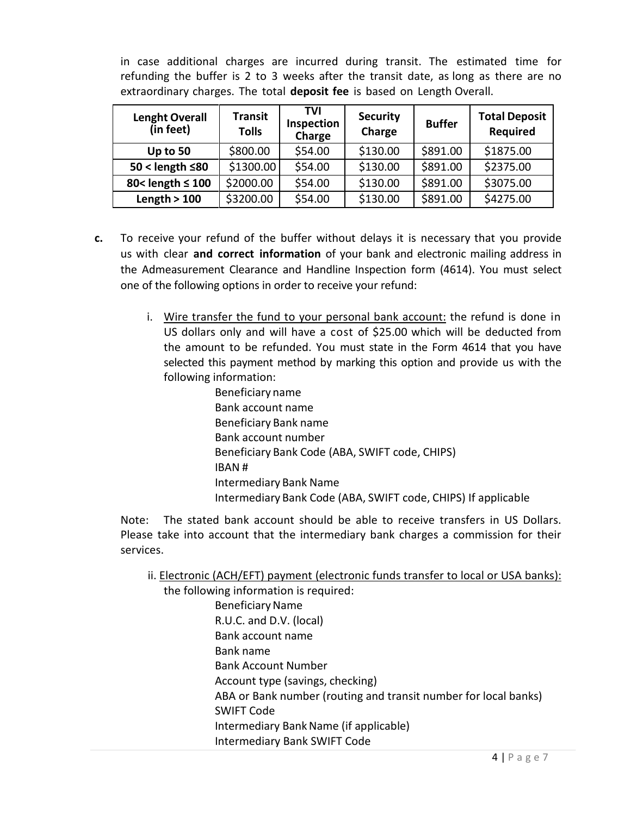in case additional charges are incurred during transit. The estimated time for refunding the buffer is 2 to 3 weeks after the transit date, as long as there are no extraordinary charges. The total **deposit fee** is based on Length Overall.

| <b>Lenght Overall</b><br>(in feet) | <b>Transit</b><br><b>Tolls</b> | TVI<br>Inspection<br>Charge | <b>Security</b><br>Charge | <b>Buffer</b> | <b>Total Deposit</b><br><b>Required</b> |
|------------------------------------|--------------------------------|-----------------------------|---------------------------|---------------|-----------------------------------------|
| Up to 50                           | \$800.00                       | \$54.00                     | \$130.00                  | \$891.00      | \$1875.00                               |
| $50 <$ length $\leq 80$            | \$1300.00                      | \$54.00                     | \$130.00                  | \$891.00      | \$2375.00                               |
| 80< length ≤ 100                   | \$2000.00                      | \$54.00                     | \$130.00                  | \$891.00      | \$3075.00                               |
| Length $>100$                      | \$3200.00                      | \$54.00                     | \$130.00                  | \$891.00      | \$4275.00                               |

- **c.** To receive your refund of the buffer without delays it is necessary that you provide us with clear **and correct information** of your bank and electronic mailing address in the Admeasurement Clearance and Handline Inspection form (4614). You must select one of the following options in order to receive your refund:
	- i. Wire transfer the fund to your personal bank account: the refund is done in US dollars only and will have a cost of \$25.00 which will be deducted from the amount to be refunded. You must state in the Form 4614 that you have selected this payment method by marking this option and provide us with the following information:

Beneficiary name Bank account name Beneficiary Bank name Bank account number Beneficiary Bank Code (ABA, SWIFT code, CHIPS) IBAN # Intermediary Bank Name Intermediary Bank Code (ABA, SWIFT code, CHIPS) If applicable

Note: The stated bank account should be able to receive transfers in US Dollars. Please take into account that the intermediary bank charges a commission for their services.

ii. Electronic (ACH/EFT) payment (electronic funds transfer to local or USA banks):

the following information is required: Beneficiary Name R.U.C. and D.V. (local) Bank account name Bank name Bank Account Number Account type (savings, checking) ABA or Bank number (routing and transit number for local banks) SWIFT Code Intermediary BankName (if applicable) Intermediary Bank SWIFT Code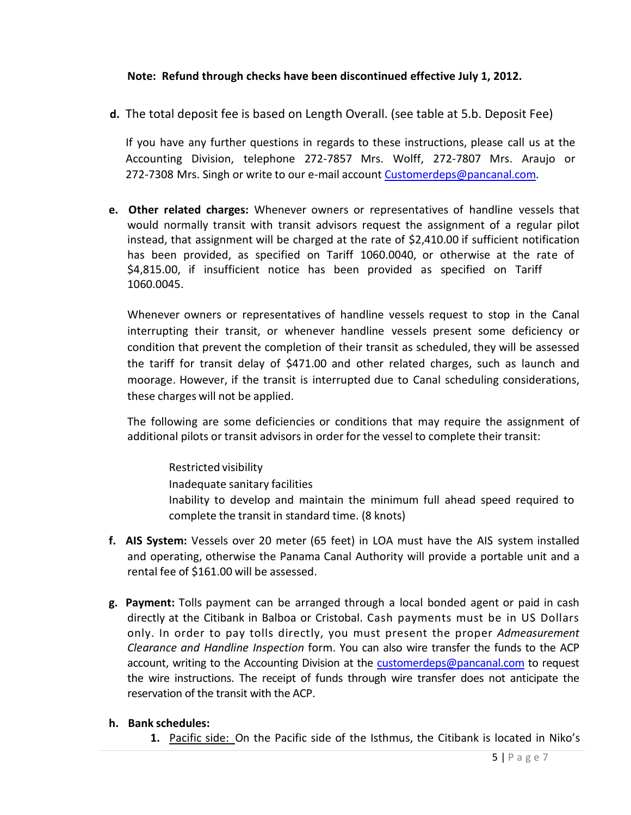#### **Note: Refund through checks have been discontinued effective July 1, 2012.**

**d.** The total deposit fee is based on Length Overall. (see table at 5.b. Deposit Fee)

If you have any further questions in regards to these instructions, please call us at the Accounting Division, telephone 272‐7857 Mrs. Wolff, 272‐7807 Mrs. Araujo or 272-7308 Mrs. Singh or write to our e-mail account [Customerdeps@pancanal.com.](mailto:Customerdeps@pancanal.com)

**e. Other related charges:** Whenever owners or representatives of handline vessels that would normally transit with transit advisors request the assignment of a regular pilot instead, that assignment will be charged at the rate of \$2,410.00 if sufficient notification has been provided, as specified on Tariff 1060.0040, or otherwise at the rate of \$4,815.00, if insufficient notice has been provided as specified on Tariff 1060.0045.

Whenever owners or representatives of handline vessels request to stop in the Canal interrupting their transit, or whenever handline vessels present some deficiency or condition that prevent the completion of their transit as scheduled, they will be assessed the tariff for transit delay of \$471.00 and other related charges, such as launch and moorage. However, if the transit is interrupted due to Canal scheduling considerations, these charges will not be applied.

The following are some deficiencies or conditions that may require the assignment of additional pilots or transit advisors in order for the vessel to complete their transit:

Restricted visibility Inadequate sanitary facilities Inability to develop and maintain the minimum full ahead speed required to complete the transit in standard time. (8 knots)

- **f. AIS System:** Vessels over 20 meter (65 feet) in LOA must have the AIS system installed and operating, otherwise the Panama Canal Authority will provide a portable unit and a rental fee of \$161.00 will be assessed.
- **g. Payment:** Tolls payment can be arranged through a local bonded agent or paid in cash directly at the Citibank in Balboa or Cristobal. Cash payments must be in US Dollars only. In order to pay tolls directly, you must present the proper *Admeasurement Clearance and Handline Inspection* form. You can also wire transfer the funds to the ACP account, writing to the Accounting Division at the [customerdeps@pancanal.com](mailto:customerdeps@pancanal.com) to request the wire instructions. The receipt of funds through wire transfer does not anticipate the reservation of the transit with the ACP.
- **h. Bank schedules:**
	- **1.** Pacific side: On the Pacific side of the Isthmus, the Citibank is located in Niko's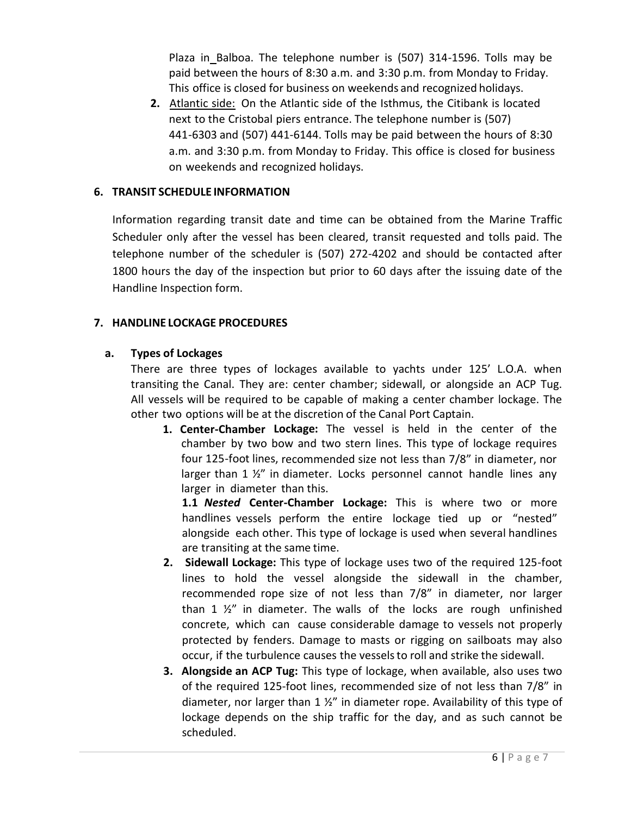Plaza in Balboa. The telephone number is (507) 314‐1596. Tolls may be paid between the hours of 8:30 a.m. and 3:30 p.m. from Monday to Friday. This office is closed for business on weekends and recognized holidays.

**2.** Atlantic side: On the Atlantic side of the Isthmus, the Citibank is located next to the Cristobal piers entrance. The telephone number is (507) 441‐6303 and (507) 441‐6144. Tolls may be paid between the hours of 8:30 a.m. and 3:30 p.m. from Monday to Friday. This office is closed for business on weekends and recognized holidays.

#### **6. TRANSIT SCHEDULE INFORMATION**

Information regarding transit date and time can be obtained from the Marine Traffic Scheduler only after the vessel has been cleared, transit requested and tolls paid. The telephone number of the scheduler is (507) 272‐4202 and should be contacted after 1800 hours the day of the inspection but prior to 60 days after the issuing date of the Handline Inspection form.

### **7. HANDLINE LOCKAGE PROCEDURES**

### **a. Types of Lockages**

There are three types of lockages available to yachts under 125' L.O.A. when transiting the Canal. They are: center chamber; sidewall, or alongside an ACP Tug. All vessels will be required to be capable of making a center chamber lockage. The other two options will be at the discretion of the Canal Port Captain.

**1. Center‐Chamber Lockage:** The vessel is held in the center of the chamber by two bow and two stern lines. This type of lockage requires four 125‐foot lines, recommended size not less than 7/8" in diameter, nor larger than 1 ½" in diameter. Locks personnel cannot handle lines any larger in diameter than this.

**1.1** *Nested* **Center‐Chamber Lockage:** This is where two or more handlines vessels perform the entire lockage tied up or "nested" alongside each other. This type of lockage is used when several handlines are transiting at the same time.

- **2. Sidewall Lockage:** This type of lockage uses two of the required 125‐foot lines to hold the vessel alongside the sidewall in the chamber, recommended rope size of not less than 7/8" in diameter, nor larger than 1  $\frac{1}{2}$ " in diameter. The walls of the locks are rough unfinished concrete, which can cause considerable damage to vessels not properly protected by fenders. Damage to masts or rigging on sailboats may also occur, if the turbulence causes the vesselsto roll and strike the sidewall.
- **3. Alongside an ACP Tug:** This type of lockage, when available, also uses two of the required 125‐foot lines, recommended size of not less than 7/8" in diameter, nor larger than  $1 \frac{1}{2}$ " in diameter rope. Availability of this type of lockage depends on the ship traffic for the day, and as such cannot be scheduled.